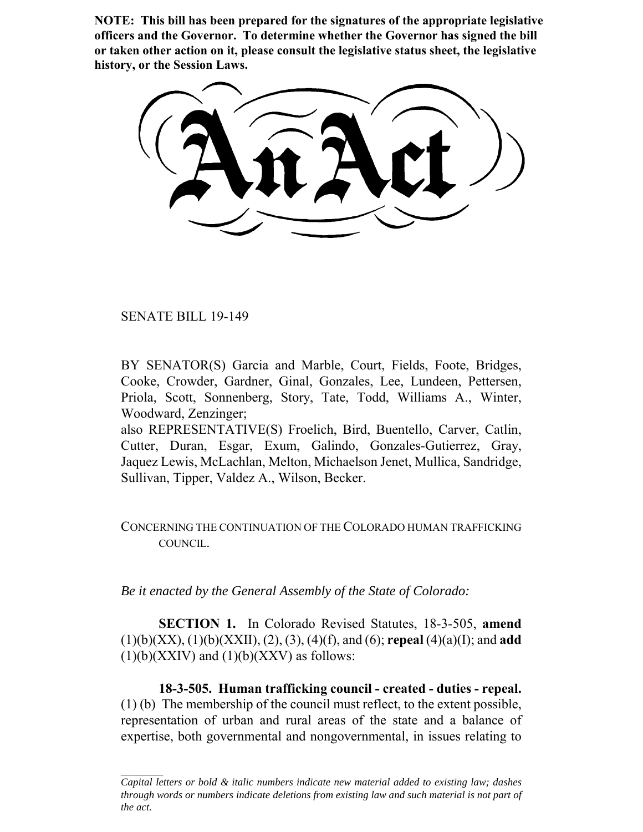**NOTE: This bill has been prepared for the signatures of the appropriate legislative officers and the Governor. To determine whether the Governor has signed the bill or taken other action on it, please consult the legislative status sheet, the legislative history, or the Session Laws.**

SENATE BILL 19-149

BY SENATOR(S) Garcia and Marble, Court, Fields, Foote, Bridges, Cooke, Crowder, Gardner, Ginal, Gonzales, Lee, Lundeen, Pettersen, Priola, Scott, Sonnenberg, Story, Tate, Todd, Williams A., Winter, Woodward, Zenzinger;

also REPRESENTATIVE(S) Froelich, Bird, Buentello, Carver, Catlin, Cutter, Duran, Esgar, Exum, Galindo, Gonzales-Gutierrez, Gray, Jaquez Lewis, McLachlan, Melton, Michaelson Jenet, Mullica, Sandridge, Sullivan, Tipper, Valdez A., Wilson, Becker.

CONCERNING THE CONTINUATION OF THE COLORADO HUMAN TRAFFICKING COUNCIL.

*Be it enacted by the General Assembly of the State of Colorado:*

**SECTION 1.** In Colorado Revised Statutes, 18-3-505, **amend** (1)(b)(XX), (1)(b)(XXII), (2), (3), (4)(f), and (6); **repeal** (4)(a)(I); and **add**  $(1)(b)(XXIV)$  and  $(1)(b)(XXXV)$  as follows:

**18-3-505. Human trafficking council - created - duties - repeal.** (1) (b) The membership of the council must reflect, to the extent possible, representation of urban and rural areas of the state and a balance of expertise, both governmental and nongovernmental, in issues relating to

*Capital letters or bold & italic numbers indicate new material added to existing law; dashes through words or numbers indicate deletions from existing law and such material is not part of the act.*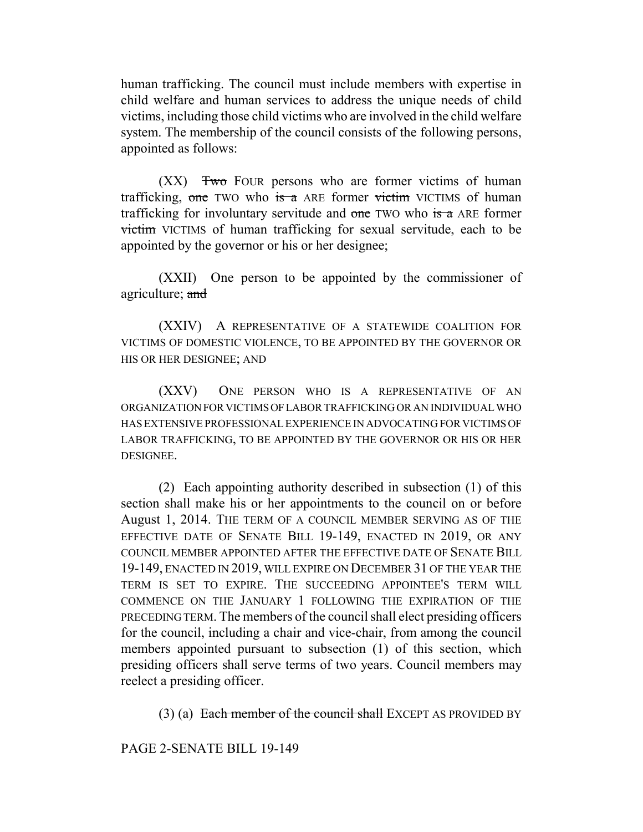human trafficking. The council must include members with expertise in child welfare and human services to address the unique needs of child victims, including those child victims who are involved in the child welfare system. The membership of the council consists of the following persons, appointed as follows:

 $(XX)$  Two FOUR persons who are former victims of human trafficking, one TWO who is a ARE former victim VICTIMS of human trafficking for involuntary servitude and one TWO who is a ARE former victim VICTIMS of human trafficking for sexual servitude, each to be appointed by the governor or his or her designee;

(XXII) One person to be appointed by the commissioner of agriculture; and

(XXIV) A REPRESENTATIVE OF A STATEWIDE COALITION FOR VICTIMS OF DOMESTIC VIOLENCE, TO BE APPOINTED BY THE GOVERNOR OR HIS OR HER DESIGNEE; AND

(XXV) ONE PERSON WHO IS A REPRESENTATIVE OF AN ORGANIZATION FOR VICTIMS OF LABOR TRAFFICKING OR AN INDIVIDUAL WHO HAS EXTENSIVE PROFESSIONAL EXPERIENCE IN ADVOCATING FOR VICTIMS OF LABOR TRAFFICKING, TO BE APPOINTED BY THE GOVERNOR OR HIS OR HER **DESIGNEE** 

(2) Each appointing authority described in subsection (1) of this section shall make his or her appointments to the council on or before August 1, 2014. THE TERM OF A COUNCIL MEMBER SERVING AS OF THE EFFECTIVE DATE OF SENATE BILL 19-149, ENACTED IN 2019, OR ANY COUNCIL MEMBER APPOINTED AFTER THE EFFECTIVE DATE OF SENATE BILL 19-149, ENACTED IN 2019, WILL EXPIRE ON DECEMBER 31 OF THE YEAR THE TERM IS SET TO EXPIRE. THE SUCCEEDING APPOINTEE'S TERM WILL COMMENCE ON THE JANUARY 1 FOLLOWING THE EXPIRATION OF THE PRECEDING TERM. The members of the council shall elect presiding officers for the council, including a chair and vice-chair, from among the council members appointed pursuant to subsection (1) of this section, which presiding officers shall serve terms of two years. Council members may reelect a presiding officer.

(3) (a) Each member of the council shall EXCEPT AS PROVIDED BY

PAGE 2-SENATE BILL 19-149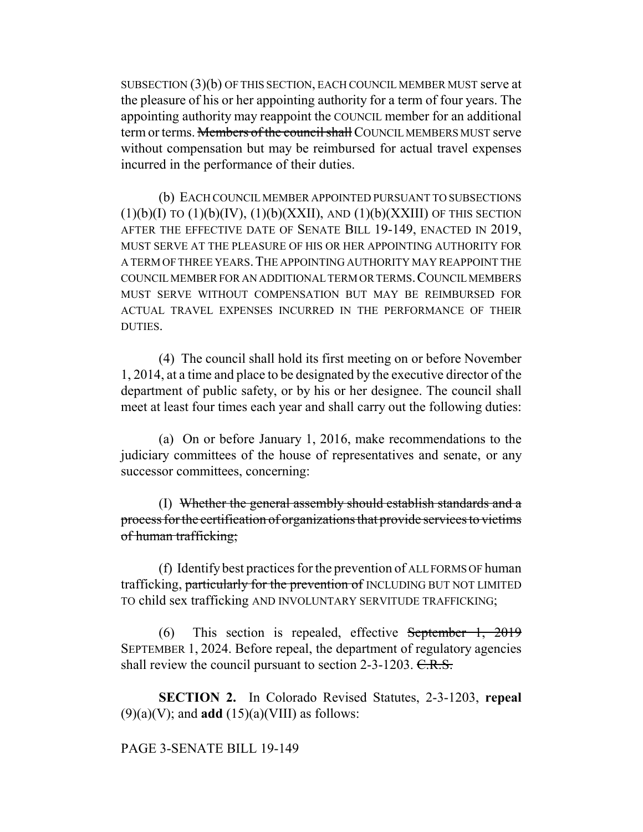SUBSECTION (3)(b) OF THIS SECTION, EACH COUNCIL MEMBER MUST serve at the pleasure of his or her appointing authority for a term of four years. The appointing authority may reappoint the COUNCIL member for an additional term or terms. Members of the council shall COUNCIL MEMBERS MUST serve without compensation but may be reimbursed for actual travel expenses incurred in the performance of their duties.

(b) EACH COUNCIL MEMBER APPOINTED PURSUANT TO SUBSECTIONS  $(1)(b)(I)$  TO  $(1)(b)(IV)$ ,  $(1)(b)(XXII)$ , AND  $(1)(b)(XXIII)$  OF THIS SECTION AFTER THE EFFECTIVE DATE OF SENATE BILL 19-149, ENACTED IN 2019, MUST SERVE AT THE PLEASURE OF HIS OR HER APPOINTING AUTHORITY FOR A TERM OF THREE YEARS.THE APPOINTING AUTHORITY MAY REAPPOINT THE COUNCIL MEMBER FOR AN ADDITIONAL TERM OR TERMS.COUNCIL MEMBERS MUST SERVE WITHOUT COMPENSATION BUT MAY BE REIMBURSED FOR ACTUAL TRAVEL EXPENSES INCURRED IN THE PERFORMANCE OF THEIR DUTIES.

(4) The council shall hold its first meeting on or before November 1, 2014, at a time and place to be designated by the executive director of the department of public safety, or by his or her designee. The council shall meet at least four times each year and shall carry out the following duties:

(a) On or before January 1, 2016, make recommendations to the judiciary committees of the house of representatives and senate, or any successor committees, concerning:

(I) Whether the general assembly should establish standards and a process for the certification of organizations that provide services to victims of human trafficking;

(f) Identify best practices for the prevention of ALL FORMS OF human trafficking, particularly for the prevention of INCLUDING BUT NOT LIMITED TO child sex trafficking AND INVOLUNTARY SERVITUDE TRAFFICKING;

(6) This section is repealed, effective September 1, 2019 SEPTEMBER 1, 2024. Before repeal, the department of regulatory agencies shall review the council pursuant to section 2-3-1203. C.R.S.

**SECTION 2.** In Colorado Revised Statutes, 2-3-1203, **repeal**  $(9)(a)(V)$ ; and **add**  $(15)(a)(VIII)$  as follows:

## PAGE 3-SENATE BILL 19-149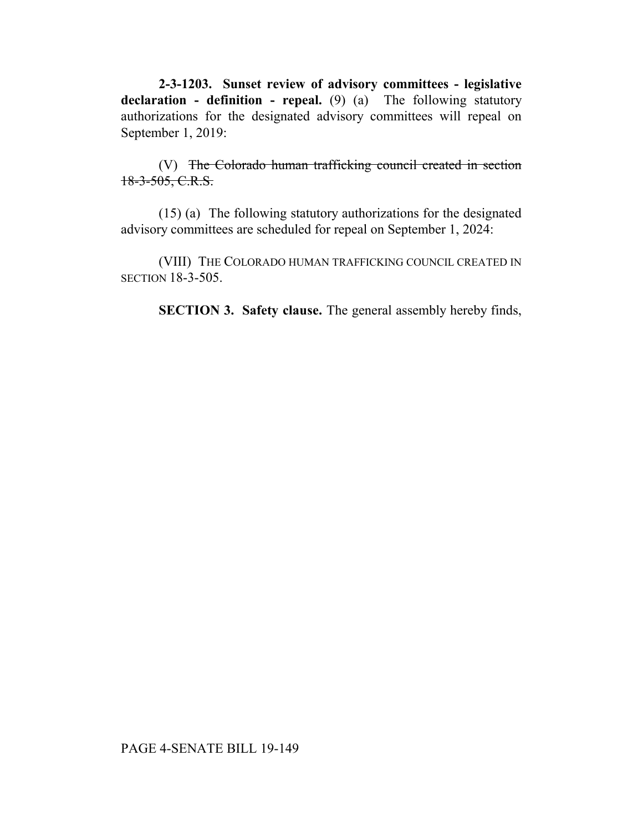**2-3-1203. Sunset review of advisory committees - legislative declaration - definition - repeal.** (9) (a) The following statutory authorizations for the designated advisory committees will repeal on September 1, 2019:

(V) The Colorado human trafficking council created in section 18-3-505, C.R.S.

(15) (a) The following statutory authorizations for the designated advisory committees are scheduled for repeal on September 1, 2024:

(VIII) THE COLORADO HUMAN TRAFFICKING COUNCIL CREATED IN SECTION 18-3-505.

**SECTION 3. Safety clause.** The general assembly hereby finds,